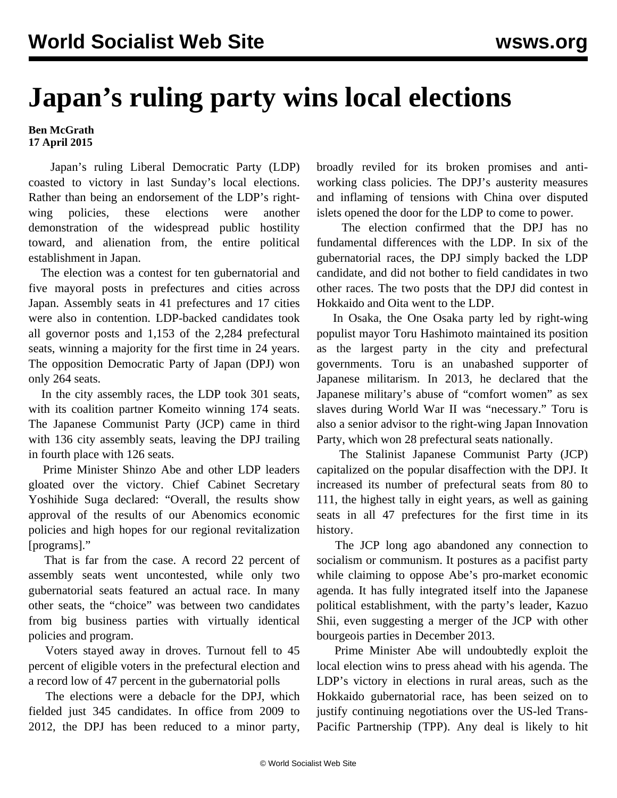## **Japan's ruling party wins local elections**

## **Ben McGrath 17 April 2015**

 Japan's ruling Liberal Democratic Party (LDP) coasted to victory in last Sunday's local elections. Rather than being an endorsement of the LDP's rightwing policies, these elections were another demonstration of the widespread public hostility toward, and alienation from, the entire political establishment in Japan.

 The election was a contest for ten gubernatorial and five mayoral posts in prefectures and cities across Japan. Assembly seats in 41 prefectures and 17 cities were also in contention. LDP-backed candidates took all governor posts and 1,153 of the 2,284 prefectural seats, winning a majority for the first time in 24 years. The opposition Democratic Party of Japan (DPJ) won only 264 seats.

 In the city assembly races, the LDP took 301 seats, with its coalition partner Komeito winning 174 seats. The Japanese Communist Party (JCP) came in third with 136 city assembly seats, leaving the DPJ trailing in fourth place with 126 seats.

 Prime Minister Shinzo Abe and other LDP leaders gloated over the victory. Chief Cabinet Secretary Yoshihide Suga declared: "Overall, the results show approval of the results of our Abenomics economic policies and high hopes for our regional revitalization [programs]."

 That is far from the case. A record 22 percent of assembly seats went uncontested, while only two gubernatorial seats featured an actual race. In many other seats, the "choice" was between two candidates from big business parties with virtually identical policies and program.

 Voters stayed away in droves. Turnout fell to 45 percent of eligible voters in the prefectural election and a record low of 47 percent in the gubernatorial polls

 The elections were a debacle for the DPJ, which fielded just 345 candidates. In office from 2009 to 2012, the DPJ has been reduced to a minor party, broadly reviled for its broken promises and antiworking class policies. The DPJ's austerity measures and inflaming of tensions with China over disputed islets opened the door for the LDP to come to power.

 The election confirmed that the DPJ has no fundamental differences with the LDP. In six of the gubernatorial races, the DPJ simply backed the LDP candidate, and did not bother to field candidates in two other races. The two posts that the DPJ did contest in Hokkaido and Oita went to the LDP.

 In Osaka, the One Osaka party led by right-wing populist mayor Toru Hashimoto maintained its position as the largest party in the city and prefectural governments. Toru is an unabashed supporter of Japanese militarism. In 2013, he declared that the Japanese military's abuse of "comfort women" as sex slaves during World War II was "necessary." Toru is also a senior advisor to the right-wing Japan Innovation Party, which won 28 prefectural seats nationally.

 The Stalinist Japanese Communist Party (JCP) capitalized on the popular disaffection with the DPJ. It increased its number of prefectural seats from 80 to 111, the highest tally in eight years, as well as gaining seats in all 47 prefectures for the first time in its history.

 The JCP long ago abandoned any connection to socialism or communism. It postures as a pacifist party while claiming to oppose Abe's pro-market economic agenda. It has fully integrated itself into the Japanese political establishment, with the party's leader, Kazuo Shii, even suggesting a merger of the JCP with other bourgeois parties in December 2013.

 Prime Minister Abe will undoubtedly exploit the local election wins to press ahead with his agenda. The LDP's victory in elections in rural areas, such as the Hokkaido gubernatorial race, has been seized on to justify continuing negotiations over the US-led Trans-Pacific Partnership (TPP). Any deal is likely to hit